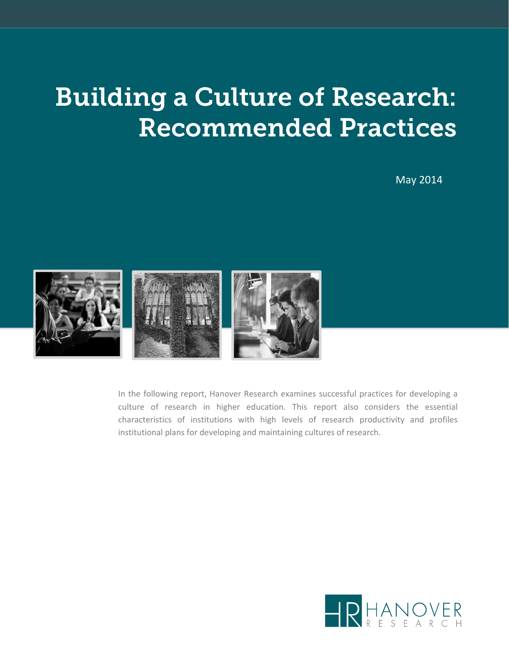# Building a Culture of Research: Recommended Practices

May 2014



In the following report, Hanover Research examines successful practices for developing a culture of research in higher education. This report also considers the essential characteristics of institutions with high levels of research productivity and profiles institutional plans for developing and maintaining cultures of research.

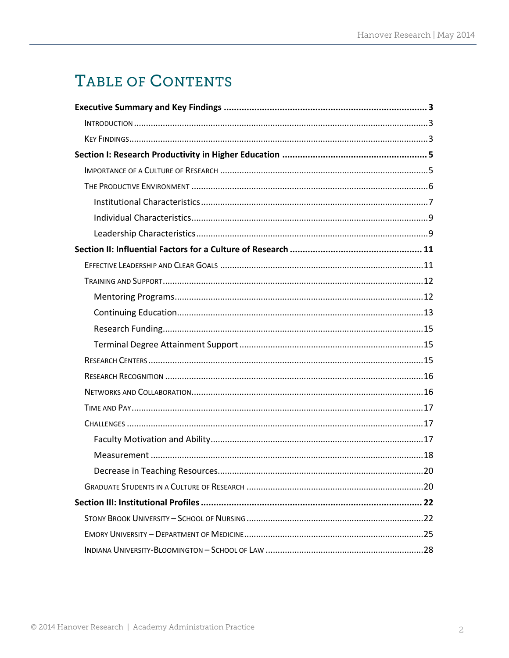# TABLE OF CONTENTS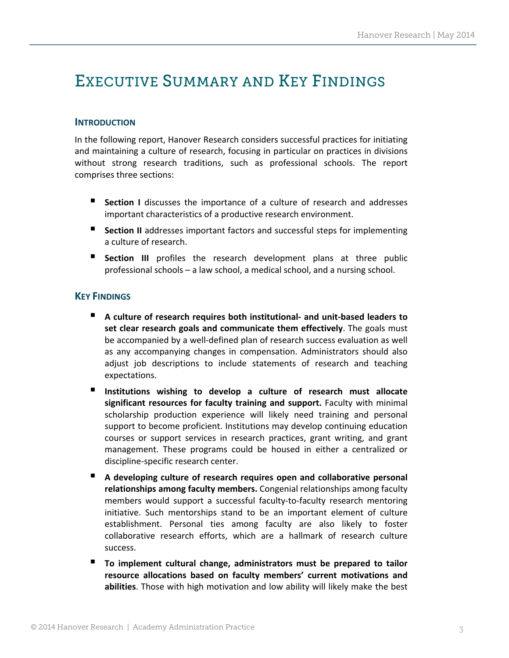# EXECUTIVE SUMMARY AND KEY FINDINGS

### **INTRODUCTION**

In the following report, Hanover Research considers successful practices for initiating and maintaining a culture of research, focusing in particular on practices in divisions without strong research traditions, such as professional schools. The report comprises three sections:

- **Section** I discusses the importance of a culture of research and addresses important characteristics of a productive research environment.
- **Section II** addresses important factors and successful steps for implementing a culture of research.
- **Section III** profiles the research development plans at three public professional schools – a law school, a medical school, and a nursing school.

#### **KEY FINDINGS**

- **A culture of research requires both institutional‐ and unit‐based leaders to set clear research goals and communicate them effectively**. The goals must be accompanied by a well‐defined plan of research success evaluation as well as any accompanying changes in compensation. Administrators should also adjust job descriptions to include statements of research and teaching expectations.
- **Institutions wishing to develop a culture of research must allocate significant resources for faculty training and support.** Faculty with minimal scholarship production experience will likely need training and personal support to become proficient. Institutions may develop continuing education courses or support services in research practices, grant writing, and grant management. These programs could be housed in either a centralized or discipline‐specific research center.
- **A developing culture of research requires open and collaborative personal relationships among faculty members.** Congenial relationships among faculty members would support a successful faculty‐to‐faculty research mentoring initiative. Such mentorships stand to be an important element of culture establishment. Personal ties among faculty are also likely to foster collaborative research efforts, which are a hallmark of research culture success.
- **To implement cultural change, administrators must be prepared to tailor resource allocations based on faculty members' current motivations and abilities**. Those with high motivation and low ability will likely make the best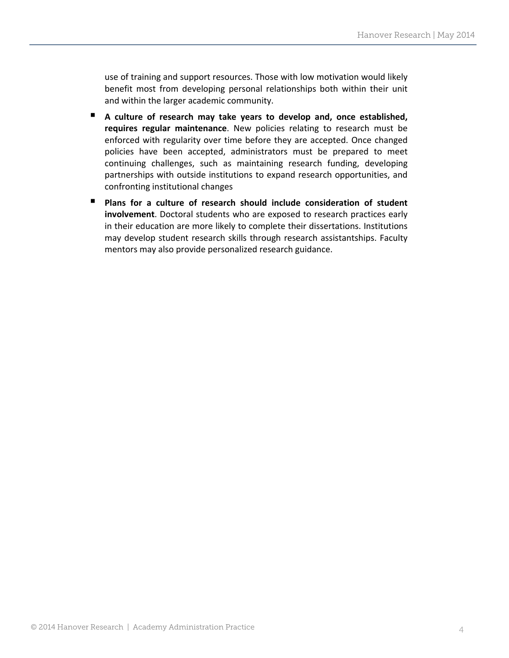use of training and support resources. Those with low motivation would likely benefit most from developing personal relationships both within their unit and within the larger academic community.

- **A culture of research may take years to develop and, once established, requires regular maintenance**. New policies relating to research must be enforced with regularity over time before they are accepted. Once changed policies have been accepted, administrators must be prepared to meet continuing challenges, such as maintaining research funding, developing partnerships with outside institutions to expand research opportunities, and confronting institutional changes
- **Plans for a culture of research should include consideration of student involvement**. Doctoral students who are exposed to research practices early in their education are more likely to complete their dissertations. Institutions may develop student research skills through research assistantships. Faculty mentors may also provide personalized research guidance.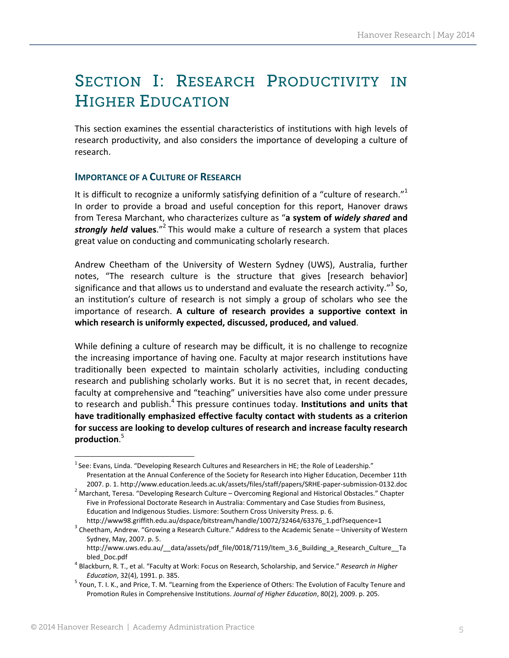# SECTION I: RESEARCH PRODUCTIVITY IN HIGHER EDUCATION

This section examines the essential characteristics of institutions with high levels of research productivity, and also considers the importance of developing a culture of research.

# **IMPORTANCE OF A CULTURE OF RESEARCH**

It is difficult to recognize a uniformly satisfying definition of a "culture of research."<sup>1</sup> In order to provide a broad and useful conception for this report, Hanover draws from Teresa Marchant, who characterizes culture as "**a system of** *widely shared* **and** *strongly held* **values**."2 This would make a culture of research a system that places great value on conducting and communicating scholarly research.

Andrew Cheetham of the University of Western Sydney (UWS), Australia, further notes, "The research culture is the structure that gives [research behavior] significance and that allows us to understand and evaluate the research activity."<sup>3</sup> So, an institution's culture of research is not simply a group of scholars who see the importance of research. **A culture of research provides a supportive context in which research is uniformly expected, discussed, produced, and valued**.

While defining a culture of research may be difficult, it is no challenge to recognize the increasing importance of having one. Faculty at major research institutions have traditionally been expected to maintain scholarly activities, including conducting research and publishing scholarly works. But it is no secret that, in recent decades, faculty at comprehensive and "teaching" universities have also come under pressure to research and publish.<sup>4</sup> This pressure continues today. **Institutions and units that have traditionally emphasized effective faculty contact with students as a criterion for success are looking to develop cultures of research and increase faculty research production**. 5

 $^1$ See: Evans, Linda. "Developing Research Cultures and Researchers in HE; the Role of Leadership." Presentation at the Annual Conference of the Society for Research into Higher Education, December 11th

<sup>2007.</sup> p. 1. http://www.education.leeds.ac.uk/assets/files/staff/papers/SRHE‐paper‐submission‐0132.doc <sup>2</sup> Marchant, Teresa. "Developing Research Culture – Overcoming Regional and Historical Obstacles." Chapter Five in Professional Doctorate Research in Australia: Commentary and Case Studies from Business, Education and Indigenous Studies. Lismore: Southern Cross University Press. p. 6.

http://www98.griffith.edu.au/dspace/bitstream/handle/10072/32464/63376\_1.pdf?sequence=1<br><sup>3</sup> Cheetham, Andrew. "Growing a Research Culture." Address to the Academic Senate – University of Western Sydney, May, 2007. p. 5.

http://www.uws.edu.au/\_\_data/assets/pdf\_file/0018/7119/Item\_3.6\_Building\_a\_Research\_Culture\_\_Ta

bled\_Doc.pdf <sup>4</sup> Blackburn, R. T., et al. "Faculty at Work: Focus on Research, Scholarship, and Service." *Research in Higher*

*Education*, 32(4), 1991. p. 385. <sup>5</sup> Youn, T. I. K., and Price, T. M. "Learning from the Experience of Others: The Evolution of Faculty Tenure and Promotion Rules in Comprehensive Institutions. *Journal of Higher Education*, 80(2), 2009. p. 205.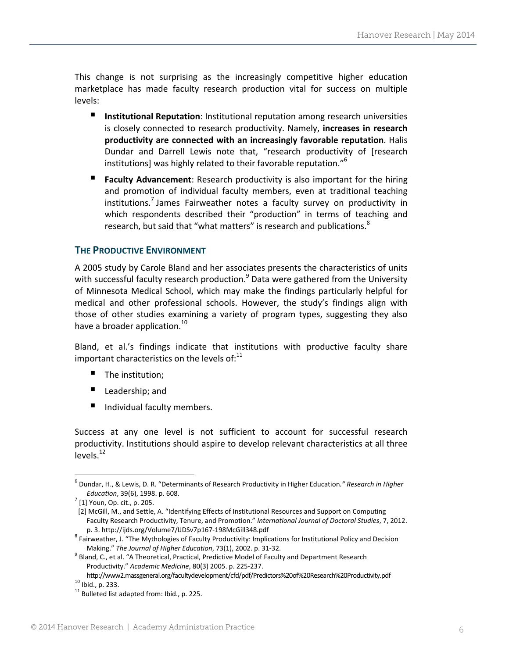This change is not surprising as the increasingly competitive higher education marketplace has made faculty research production vital for success on multiple levels:

- **Institutional Reputation**: Institutional reputation among research universities is closely connected to research productivity. Namely, **increases in research productivity are connected with an increasingly favorable reputation**. Halis Dundar and Darrell Lewis note that, "research productivity of [research institutions] was highly related to their favorable reputation."<sup>6</sup>
- **Faculty Advancement**: Research productivity is also important for the hiring and promotion of individual faculty members, even at traditional teaching institutions.<sup>7</sup> James Fairweather notes a faculty survey on productivity in which respondents described their "production" in terms of teaching and research, but said that "what matters" is research and publications.<sup>8</sup>

# **THE PRODUCTIVE ENVIRONMENT**

A 2005 study by Carole Bland and her associates presents the characteristics of units with successful faculty research production. $9$  Data were gathered from the University of Minnesota Medical School, which may make the findings particularly helpful for medical and other professional schools. However, the study's findings align with those of other studies examining a variety of program types, suggesting they also have a broader application.<sup>10</sup>

Bland, et al.'s findings indicate that institutions with productive faculty share important characteristics on the levels of: $^{11}$ 

- The institution;
- Leadership; and

Individual faculty members.

Success at any one level is not sufficient to account for successful research productivity. Institutions should aspire to develop relevant characteristics at all three levels.<sup>12</sup>

<sup>6</sup> Dundar, H., & Lewis, D. R. "Determinants of Research Productivity in Higher Education*." Research in Higher Education*, 39(6), 1998. p. 608. <sup>7</sup> [1] Youn, Op. cit., p. 205.

[2] McGill, M., and Settle, A. "Identifying Effects of Institutional Resources and Support on Computing Faculty Research Productivity, Tenure, and Promotion." *International Journal of Doctoral Studies*, 7, 2012.

p. 3. http://ijds.org/Volume7/IJDSv7p167-198McGill348.pdf<br><sup>8</sup> Fairweather, J. "The Mythologies of Faculty Productivity: Implications for Institutional Policy and Decision

Making." *The Journal of Higher Education*, 73(1), 2002. p. <sup>31</sup>‐32. <sup>9</sup> Bland, C., et al. "A Theoretical, Practical, Predictive Model of Faculty and Department Research Productivity." *Academic Medicine*, 80(3) 2005. p. 225‐237.

http://www2.massgeneral.org/facultydevelopment/cfd/pdf/Predictors%20of%20Research%20Productivity.pdf<br>
<sup>10</sup> Ibid., p. 233.<br>
<sup>11</sup> Bulleted list adapted from: Ibid., p. 225.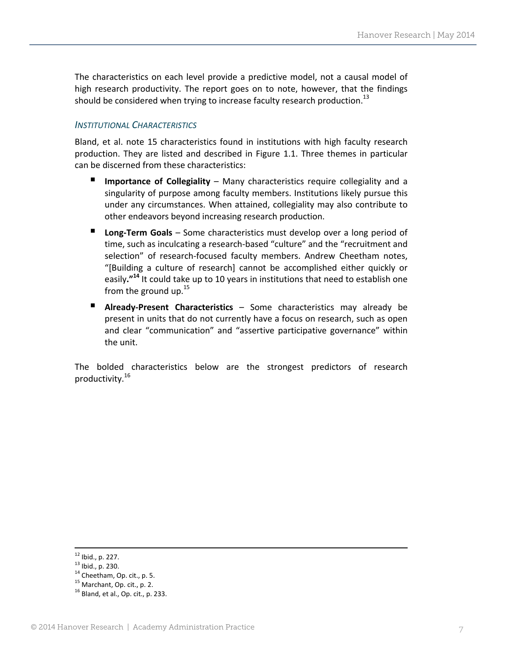The characteristics on each level provide a predictive model, not a causal model of high research productivity. The report goes on to note, however, that the findings should be considered when trying to increase faculty research production. $^{13}$ 

### *INSTITUTIONAL CHARACTERISTICS*

Bland, et al. note 15 characteristics found in institutions with high faculty research production. They are listed and described in Figure 1.1. Three themes in particular can be discerned from these characteristics:

- **Importance of Collegiality** Many characteristics require collegiality and a singularity of purpose among faculty members. Institutions likely pursue this under any circumstances. When attained, collegiality may also contribute to other endeavors beyond increasing research production.
- **Long-Term Goals** Some characteristics must develop over a long period of time, such as inculcating a research‐based "culture" and the "recruitment and selection" of research-focused faculty members. Andrew Cheetham notes, "[Building a culture of research] cannot be accomplished either quickly or easily**."14** It could take up to 10 years in institutions that need to establish one from the ground up.<sup>15</sup>
- **Already-Present Characteristics** Some characteristics may already be present in units that do not currently have a focus on research, such as open and clear "communication" and "assertive participative governance" within the unit.

The bolded characteristics below are the strongest predictors of research productivity.<sup>16</sup>

<sup>&</sup>lt;sup>12</sup> Ibid., p. 227.<br><sup>13</sup> Ibid., p. 230.<br><sup>14</sup> Cheetham, Op. cit., p. 5.<br><sup>15</sup> Marchant, Op. cit., p. 2.<br><sup>16</sup> Bland, et al., Op. cit., p. 233.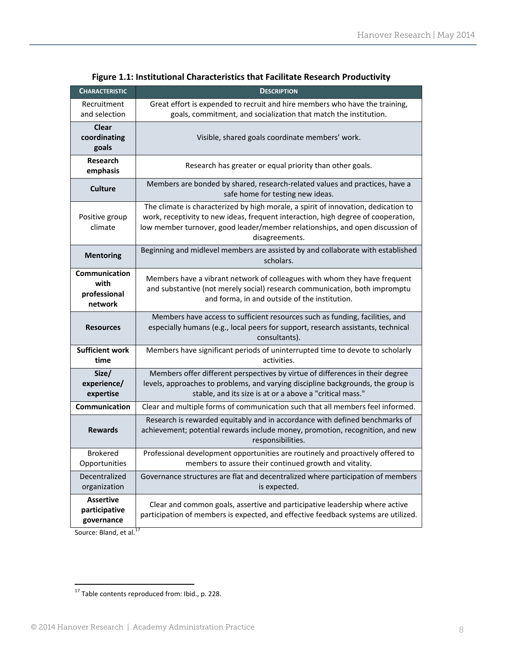| <b>CHARACTERISTIC</b>                                   | <b>DESCRIPTION</b>                                                                                                                                                                                                                                                         |  |
|---------------------------------------------------------|----------------------------------------------------------------------------------------------------------------------------------------------------------------------------------------------------------------------------------------------------------------------------|--|
| Recruitment<br>and selection                            | Great effort is expended to recruit and hire members who have the training,<br>goals, commitment, and socialization that match the institution.                                                                                                                            |  |
| Clear<br>coordinating<br>goals                          | Visible, shared goals coordinate members' work.                                                                                                                                                                                                                            |  |
| Research<br>emphasis                                    | Research has greater or equal priority than other goals.                                                                                                                                                                                                                   |  |
| <b>Culture</b>                                          | Members are bonded by shared, research-related values and practices, have a<br>safe home for testing new ideas.                                                                                                                                                            |  |
| Positive group<br>climate                               | The climate is characterized by high morale, a spirit of innovation, dedication to<br>work, receptivity to new ideas, frequent interaction, high degree of cooperation,<br>low member turnover, good leader/member relationships, and open discussion of<br>disagreements. |  |
| <b>Mentoring</b>                                        | Beginning and midlevel members are assisted by and collaborate with established<br>scholars.                                                                                                                                                                               |  |
| <b>Communication</b><br>with<br>professional<br>network | Members have a vibrant network of colleagues with whom they have frequent<br>and substantive (not merely social) research communication, both impromptu<br>and forma, in and outside of the institution.                                                                   |  |
| <b>Resources</b>                                        | Members have access to sufficient resources such as funding, facilities, and<br>especially humans (e.g., local peers for support, research assistants, technical<br>consultants).                                                                                          |  |
| <b>Sufficient work</b><br>time                          | Members have significant periods of uninterrupted time to devote to scholarly<br>activities.                                                                                                                                                                               |  |
| Size/<br>experience/<br>expertise                       | Members offer different perspectives by virtue of differences in their degree<br>levels, approaches to problems, and varying discipline backgrounds, the group is<br>stable, and its size is at or a above a "critical mass."                                              |  |
| Communication                                           | Clear and multiple forms of communication such that all members feel informed.                                                                                                                                                                                             |  |
| <b>Rewards</b>                                          | Research is rewarded equitably and in accordance with defined benchmarks of<br>achievement; potential rewards include money, promotion, recognition, and new<br>responsibilities.                                                                                          |  |
| <b>Brokered</b><br>Opportunities                        | Professional development opportunities are routinely and proactively offered to<br>members to assure their continued growth and vitality.                                                                                                                                  |  |
| Decentralized<br>organization                           | Governance structures are flat and decentralized where participation of members<br>is expected.                                                                                                                                                                            |  |
| <b>Assertive</b><br>participative<br>governance         | Clear and common goals, assertive and participative leadership where active<br>participation of members is expected, and effective feedback systems are utilized.                                                                                                          |  |

#### **Figure 1.1: Institutional Characteristics that Facilitate Research Productivity**

Source: Bland, et al.<sup>17</sup>

  $17$  Table contents reproduced from: Ibid., p. 228.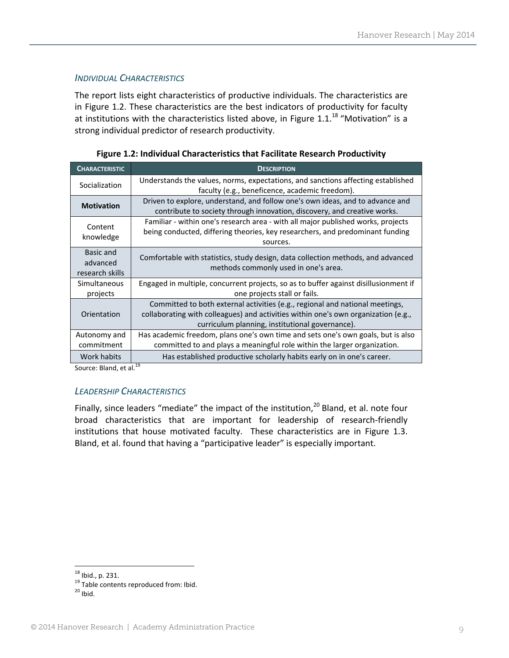### *INDIVIDUAL CHARACTERISTICS*

The report lists eight characteristics of productive individuals. The characteristics are in Figure 1.2. These characteristics are the best indicators of productivity for faculty at institutions with the characteristics listed above, in Figure 1.1.<sup>18</sup> "Motivation" is a strong individual predictor of research productivity.

| <b>CHARACTERISTIC</b>                    | <b>DESCRIPTION</b>                                                                                                                                                                                                    |
|------------------------------------------|-----------------------------------------------------------------------------------------------------------------------------------------------------------------------------------------------------------------------|
| Socialization                            | Understands the values, norms, expectations, and sanctions affecting established<br>faculty (e.g., beneficence, academic freedom).                                                                                    |
| <b>Motivation</b>                        | Driven to explore, understand, and follow one's own ideas, and to advance and<br>contribute to society through innovation, discovery, and creative works.                                                             |
| Content<br>knowledge                     | Familiar - within one's research area - with all major published works, projects<br>being conducted, differing theories, key researchers, and predominant funding<br>sources.                                         |
| Basic and<br>advanced<br>research skills | Comfortable with statistics, study design, data collection methods, and advanced<br>methods commonly used in one's area.                                                                                              |
| Simultaneous<br>projects                 | Engaged in multiple, concurrent projects, so as to buffer against disillusionment if<br>one projects stall or fails.                                                                                                  |
| Orientation                              | Committed to both external activities (e.g., regional and national meetings,<br>collaborating with colleagues) and activities within one's own organization (e.g.,<br>curriculum planning, institutional governance). |
| Autonomy and<br>commitment               | Has academic freedom, plans one's own time and sets one's own goals, but is also<br>committed to and plays a meaningful role within the larger organization.                                                          |
| Work habits                              | Has established productive scholarly habits early on in one's career.                                                                                                                                                 |

**Figure 1.2: Individual Characteristics that Facilitate Research Productivity**

Source: Bland, et al.<sup>19</sup>

# *LEADERSHIP CHARACTERISTICS*

Finally, since leaders "mediate" the impact of the institution, $^{20}$  Bland, et al. note four broad characteristics that are important for leadership of research‐friendly institutions that house motivated faculty. These characteristics are in Figure 1.3. Bland, et al. found that having a "participative leader" is especially important.

<sup>&</sup>lt;sup>18</sup> Ibid., p. 231.<br><sup>19</sup> Table contents reproduced from: Ibid.<br><sup>20</sup> Ibid.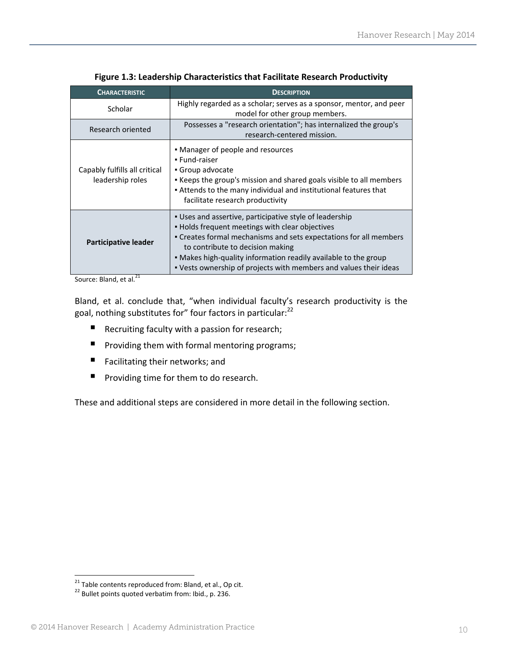| <b>CHARACTERISTIC</b>                             | <b>DESCRIPTION</b>                                                                                                                                                                                                                                                                                                                                          |  |
|---------------------------------------------------|-------------------------------------------------------------------------------------------------------------------------------------------------------------------------------------------------------------------------------------------------------------------------------------------------------------------------------------------------------------|--|
| Scholar                                           | Highly regarded as a scholar; serves as a sponsor, mentor, and peer<br>model for other group members.                                                                                                                                                                                                                                                       |  |
| Research oriented                                 | Possesses a "research orientation"; has internalized the group's<br>research-centered mission.                                                                                                                                                                                                                                                              |  |
| Capably fulfills all critical<br>leadership roles | • Manager of people and resources<br>• Fund-raiser<br>• Group advocate<br>. Keeps the group's mission and shared goals visible to all members<br>Attends to the many individual and institutional features that<br>facilitate research productivity                                                                                                         |  |
| Participative leader                              | . Uses and assertive, participative style of leadership<br>• Holds frequent meetings with clear objectives<br>• Creates formal mechanisms and sets expectations for all members<br>to contribute to decision making<br>. Makes high-quality information readily available to the group<br>• Vests ownership of projects with members and values their ideas |  |

**Figure 1.3: Leadership Characteristics that Facilitate Research Productivity**

Source: Bland, et al.<sup>21</sup>

Bland, et al. conclude that, "when individual faculty's research productivity is the goal, nothing substitutes for" four factors in particular:<sup>22</sup>

- Recruiting faculty with a passion for research;
- **P** Providing them with formal mentoring programs;
- Facilitating their networks; and
- **Peroviding time for them to do research.**

These and additional steps are considered in more detail in the following section.

<sup>&</sup>lt;sup>21</sup> Table contents reproduced from: Bland, et al., Op cit.

<sup>&</sup>lt;sup>22</sup> Bullet points quoted verbatim from: Ibid., p. 236.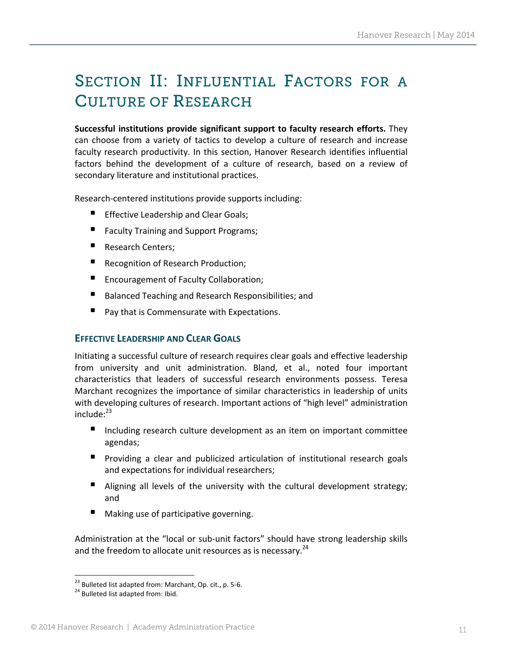# SECTION II: INFLUENTIAL FACTORS FOR A CULTURE OF RESEARCH

**Successful institutions provide significant support to faculty research efforts.** They can choose from a variety of tactics to develop a culture of research and increase faculty research productivity. In this section, Hanover Research identifies influential factors behind the development of a culture of research, based on a review of secondary literature and institutional practices.

Research-centered institutions provide supports including:

- **Effective Leadership and Clear Goals;**
- Faculty Training and Support Programs;
- Research Centers;
- **Recognition of Research Production;**
- **Encouragement of Faculty Collaboration;**
- Balanced Teaching and Research Responsibilities; and
- Pay that is Commensurate with Expectations.

# **EFFECTIVE LEADERSHIP AND CLEAR GOALS**

Initiating a successful culture of research requires clear goals and effective leadership from university and unit administration. Bland, et al., noted four important characteristics that leaders of successful research environments possess. Teresa Marchant recognizes the importance of similar characteristics in leadership of units with developing cultures of research. Important actions of "high level" administration include: $^{23}$ 

- Including research culture development as an item on important committee agendas;
- **P** Providing a clear and publicized articulation of institutional research goals and expectations for individual researchers;
- Aligning all levels of the university with the cultural development strategy; and
- Making use of participative governing.

Administration at the "local or sub-unit factors" should have strong leadership skills and the freedom to allocate unit resources as is necessary.<sup>24</sup>

<sup>&</sup>lt;sup>23</sup> Bulleted list adapted from: Marchant, Op. cit., p. 5-6.<br><sup>24</sup> Bulleted list adapted from: Ibid.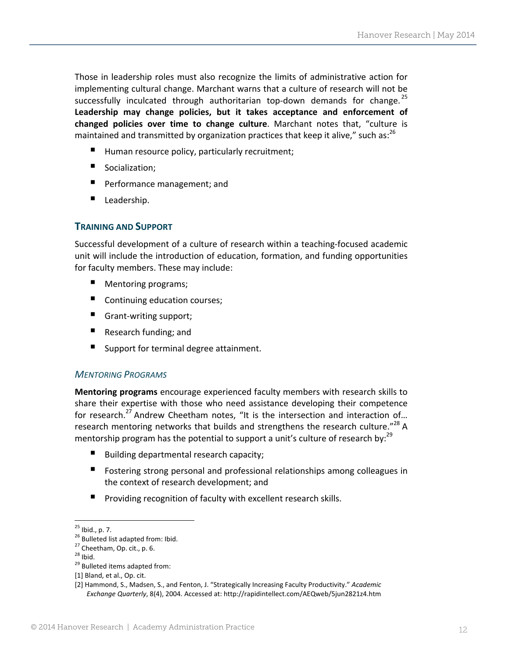Those in leadership roles must also recognize the limits of administrative action for implementing cultural change. Marchant warns that a culture of research will not be successfully inculcated through authoritarian top-down demands for change.<sup>25</sup> **Leadership may change policies, but it takes acceptance and enforcement of changed policies over time to change culture**. Marchant notes that, "culture is maintained and transmitted by organization practices that keep it alive," such as:<sup>26</sup>

- Human resource policy, particularly recruitment;
- Socialization;
- **Performance management; and**
- Leadership.

#### **TRAINING AND SUPPORT**

Successful development of a culture of research within a teaching‐focused academic unit will include the introduction of education, formation, and funding opportunities for faculty members. These may include:

- Mentoring programs;
- Continuing education courses;
- Grant-writing support;
- Research funding; and
- Support for terminal degree attainment.

#### *MENTORING PROGRAMS*

**Mentoring programs** encourage experienced faculty members with research skills to share their expertise with those who need assistance developing their competence for research.<sup>27</sup> Andrew Cheetham notes, "It is the intersection and interaction of... research mentoring networks that builds and strengthens the research culture." $^{28}$  A mentorship program has the potential to support a unit's culture of research by: $^{29}$ 

- Building departmental research capacity;
- Fostering strong personal and professional relationships among colleagues in the context of research development; and
- **Providing recognition of faculty with excellent research skills.**

<sup>&</sup>lt;sup>25</sup> Ibid., p. 7.<br><sup>26</sup> Bulleted list adapted from: Ibid.<br><sup>27</sup> Cheetham, Op. cit., p. 6.<br><sup>28</sup> Ibid. <sup>29</sup> Bulleted items adapted from:

<sup>[1]</sup> Bland, et al., Op. cit.

<sup>[2]</sup> Hammond, S., Madsen, S., and Fenton, J. "Strategically Increasing Faculty Productivity." *Academic Exchange Quarterly*, 8(4), 2004. Accessed at: http://rapidintellect.com/AEQweb/5jun2821z4.htm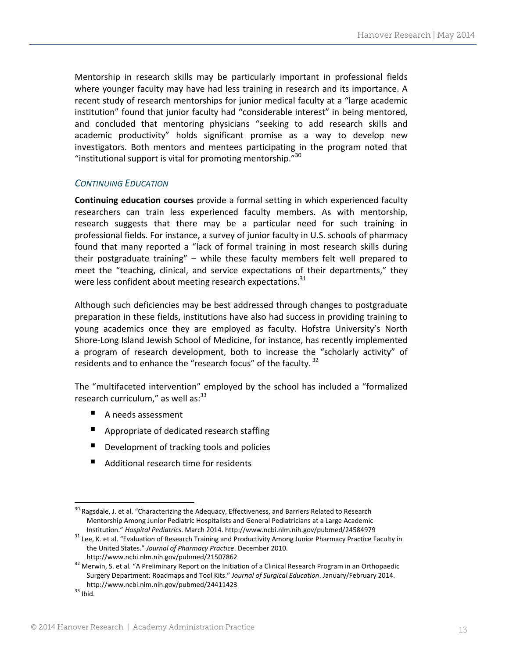Mentorship in research skills may be particularly important in professional fields where younger faculty may have had less training in research and its importance. A recent study of research mentorships for junior medical faculty at a "large academic institution" found that junior faculty had "considerable interest" in being mentored, and concluded that mentoring physicians "seeking to add research skills and academic productivity" holds significant promise as a way to develop new investigators. Both mentors and mentees participating in the program noted that "institutional support is vital for promoting mentorship." $30$ 

#### *CONTINUING EDUCATION*

**Continuing education courses** provide a formal setting in which experienced faculty researchers can train less experienced faculty members. As with mentorship, research suggests that there may be a particular need for such training in professional fields. For instance, a survey of junior faculty in U.S. schools of pharmacy found that many reported a "lack of formal training in most research skills during their postgraduate training" – while these faculty members felt well prepared to meet the "teaching, clinical, and service expectations of their departments," they were less confident about meeting research expectations.<sup>31</sup>

Although such deficiencies may be best addressed through changes to postgraduate preparation in these fields, institutions have also had success in providing training to young academics once they are employed as faculty. Hofstra University's North Shore‐Long Island Jewish School of Medicine, for instance, has recently implemented a program of research development, both to increase the "scholarly activity" of residents and to enhance the "research focus" of the faculty.<sup>32</sup>

The "multifaceted intervention" employed by the school has included a "formalized research curriculum," as well as: $33$ 

■ A needs assessment

- **Appropriate of dedicated research staffing**
- Development of tracking tools and policies
- Additional research time for residents

 $30$  Ragsdale, J. et al. "Characterizing the Adequacy, Effectiveness, and Barriers Related to Research Mentorship Among Junior Pediatric Hospitalists and General Pediatricians at a Large Academic

Institution." *Hospital Pediatrics*. March 2014. http://www.ncbi.nlm.nih.gov/pubmed/24584979 <sup>31</sup> Lee, K. et al. "Evaluation of Research Training and Productivity Among Junior Pharmacy Practice Faculty in the United States." *Journal of Pharmacy Practice*. December 2010.

http://www.ncbi.nlm.nih.gov/pubmed/21507862 <sup>32</sup> Merwin, S. et al. "A Preliminary Report on the Initiation of <sup>a</sup> Clinical Research Program in an Orthopaedic Surgery Department: Roadmaps and Tool Kits." *Journal of Surgical Education*. January/February 2014. http://www.ncbi.nlm.nih.gov/pubmed/24411423<br><sup>33</sup> Ibid.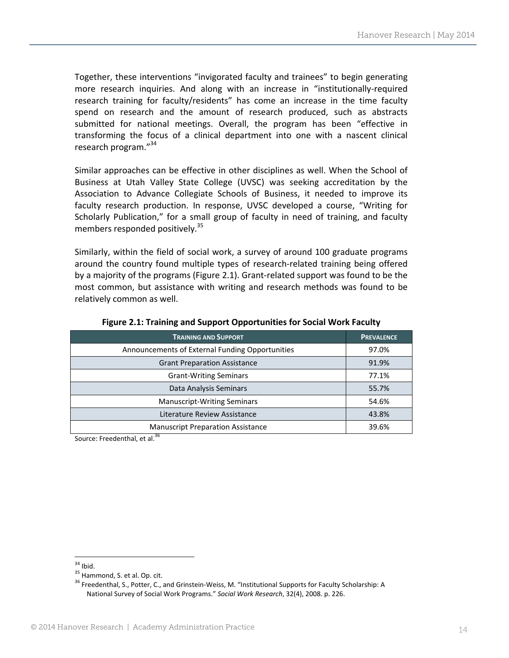Together, these interventions "invigorated faculty and trainees" to begin generating more research inquiries. And along with an increase in "institutionally‐required research training for faculty/residents" has come an increase in the time faculty spend on research and the amount of research produced, such as abstracts submitted for national meetings. Overall, the program has been "effective in transforming the focus of a clinical department into one with a nascent clinical research program."<sup>34</sup>

Similar approaches can be effective in other disciplines as well. When the School of Business at Utah Valley State College (UVSC) was seeking accreditation by the Association to Advance Collegiate Schools of Business, it needed to improve its faculty research production. In response, UVSC developed a course, "Writing for Scholarly Publication," for a small group of faculty in need of training, and faculty members responded positively.<sup>35</sup>

Similarly, within the field of social work, a survey of around 100 graduate programs around the country found multiple types of research‐related training being offered by a majority of the programs (Figure 2.1). Grant‐related support was found to be the most common, but assistance with writing and research methods was found to be relatively common as well.

| <b>TRAINING AND SUPPORT</b>                     | <b>PREVALENCE</b> |
|-------------------------------------------------|-------------------|
| Announcements of External Funding Opportunities | 97.0%             |
| <b>Grant Preparation Assistance</b>             | 91.9%             |
| <b>Grant-Writing Seminars</b>                   | 77.1%             |
| Data Analysis Seminars                          | 55.7%             |
| <b>Manuscript-Writing Seminars</b>              | 54.6%             |
| Literature Review Assistance                    | 43.8%             |
| <b>Manuscript Preparation Assistance</b>        | 39.6%             |

**Figure 2.1: Training and Support Opportunities for Social Work Faculty**

Source: Freedenthal, et al.<sup>3</sup>

<sup>&</sup>lt;sup>34</sup> Ibid.<br><sup>35</sup> Hammond, S. et al. Op. cit.<br><sup>36</sup> Freedenthal, S., Potter, C., and Grinstein‐Weiss, M. "Institutional Supports for Faculty Scholarship: A National Survey of Social Work Programs." *Social Work Research*, 32(4), 2008. p. 226.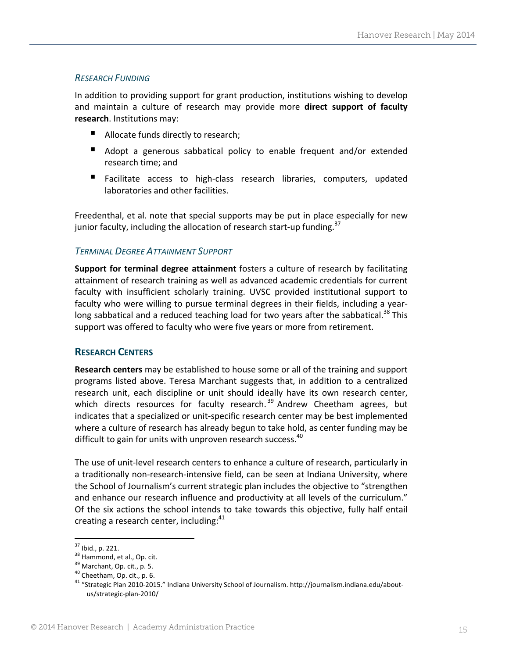### *RESEARCH FUNDING*

In addition to providing support for grant production, institutions wishing to develop and maintain a culture of research may provide more **direct support of faculty research**. Institutions may:

- Allocate funds directly to research;
- Adopt a generous sabbatical policy to enable frequent and/or extended research time; and
- Facilitate access to high-class research libraries, computers, updated laboratories and other facilities.

Freedenthal, et al. note that special supports may be put in place especially for new junior faculty, including the allocation of research start-up funding.<sup>37</sup>

#### *TERMINAL DEGREE ATTAINMENT SUPPORT*

**Support for terminal degree attainment** fosters a culture of research by facilitating attainment of research training as well as advanced academic credentials for current faculty with insufficient scholarly training. UVSC provided institutional support to faculty who were willing to pursue terminal degrees in their fields, including a year‐ long sabbatical and a reduced teaching load for two years after the sabbatical.<sup>38</sup> This support was offered to faculty who were five years or more from retirement.

# **RESEARCH CENTERS**

**Research centers** may be established to house some or all of the training and support programs listed above. Teresa Marchant suggests that, in addition to a centralized research unit, each discipline or unit should ideally have its own research center, which directs resources for faculty research.<sup>39</sup> Andrew Cheetham agrees, but indicates that a specialized or unit‐specific research center may be best implemented where a culture of research has already begun to take hold, as center funding may be difficult to gain for units with unproven research success.<sup>40</sup>

The use of unit‐level research centers to enhance a culture of research, particularly in a traditionally non‐research‐intensive field, can be seen at Indiana University, where the School of Journalism's current strategic plan includes the objective to "strengthen and enhance our research influence and productivity at all levels of the curriculum." Of the six actions the school intends to take towards this objective, fully half entail creating a research center, including: $41$ 

<sup>&</sup>lt;sup>37</sup> Ibid., p. 221.<br><sup>38</sup> Hammond, et al., Op. cit.<br><sup>39</sup> Marchant, Op. cit., p. 5.<br><sup>40</sup> Cheetham, Op. cit., p. 6.<br><sup>41</sup> "Strategic Plan 2010‐2015." Indiana University School of Journalism. http://journalism.indiana.edu/abou us/strategic‐plan‐2010/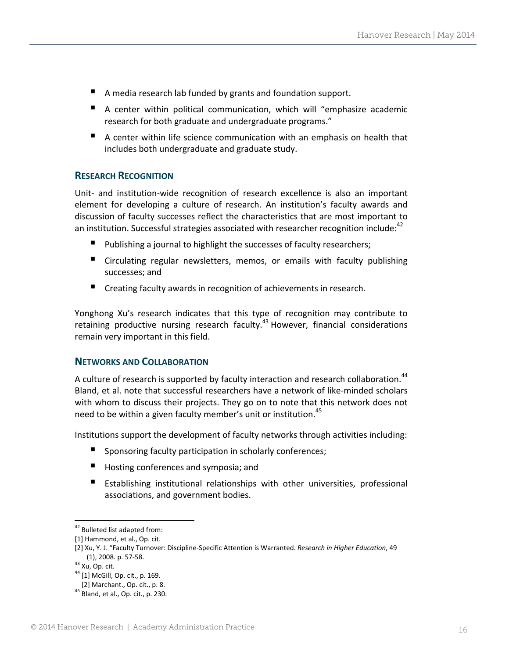- A media research lab funded by grants and foundation support.
- A center within political communication, which will "emphasize academic research for both graduate and undergraduate programs."
- A center within life science communication with an emphasis on health that includes both undergraduate and graduate study.

#### **RESEARCH RECOGNITION**

Unit‐ and institution‐wide recognition of research excellence is also an important element for developing a culture of research. An institution's faculty awards and discussion of faculty successes reflect the characteristics that are most important to an institution. Successful strategies associated with researcher recognition include:<sup>42</sup>

- Publishing a journal to highlight the successes of faculty researchers;
- Circulating regular newsletters, memos, or emails with faculty publishing successes; and
- Creating faculty awards in recognition of achievements in research.

Yonghong Xu's research indicates that this type of recognition may contribute to retaining productive nursing research faculty.43 However, financial considerations remain very important in this field.

#### **NETWORKS AND COLLABORATION**

A culture of research is supported by faculty interaction and research collaboration.<sup>44</sup> Bland, et al. note that successful researchers have a network of like‐minded scholars with whom to discuss their projects. They go on to note that this network does not need to be within a given faculty member's unit or institution.<sup>45</sup>

Institutions support the development of faculty networks through activities including:

- Sponsoring faculty participation in scholarly conferences;
- **Hosting conferences and symposia; and**
- Establishing institutional relationships with other universities, professional associations, and government bodies.

 <sup>42</sup> Bulleted list adapted from:

<sup>[1]</sup> Hammond, et al., Op. cit.

<sup>[2]</sup> Xu, Y. J. "Faculty Turnover: Discipline‐Specific Attention is Warranted. *Research in Higher Education*, 49 (1), 2008. p. 57-58.<br><sup>43</sup> Xu, Op. cit.<br><sup>44</sup> [1] McGill, Op. cit., p. 169.

[2] Marchant., Op. cit., p. 8. <sup>45</sup> Bland, et al., Op. cit., p. 230.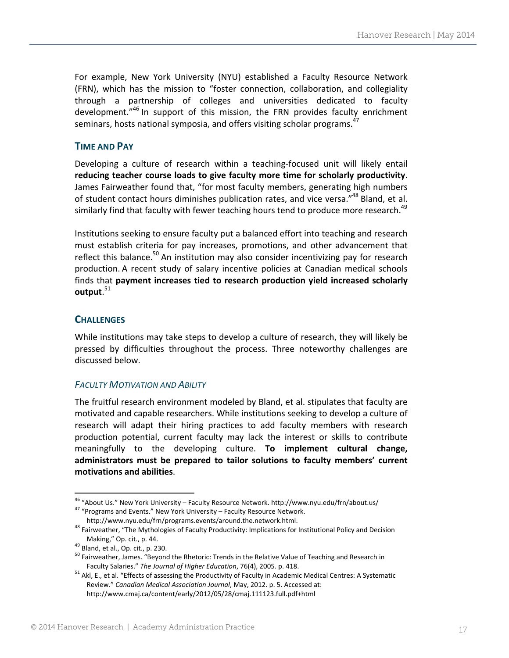For example, New York University (NYU) established a Faculty Resource Network (FRN), which has the mission to "foster connection, collaboration, and collegiality through a partnership of colleges and universities dedicated to faculty development.<sup>"46</sup> In support of this mission, the FRN provides faculty enrichment seminars, hosts national symposia, and offers visiting scholar programs. $^{47}$ 

# **TIME AND PAY**

Developing a culture of research within a teaching‐focused unit will likely entail **reducing teacher course loads to give faculty more time for scholarly productivity**. James Fairweather found that, "for most faculty members, generating high numbers of student contact hours diminishes publication rates, and vice versa."<sup>48</sup> Bland, et al. similarly find that faculty with fewer teaching hours tend to produce more research.<sup>49</sup>

Institutions seeking to ensure faculty put a balanced effort into teaching and research must establish criteria for pay increases, promotions, and other advancement that reflect this balance.<sup>50</sup> An institution may also consider incentivizing pay for research production. A recent study of salary incentive policies at Canadian medical schools finds that **payment increases tied to research production yield increased scholarly output**. 51

# **CHALLENGES**

While institutions may take steps to develop a culture of research, they will likely be pressed by difficulties throughout the process. Three noteworthy challenges are discussed below.

#### *FACULTY MOTIVATION AND ABILITY*

The fruitful research environment modeled by Bland, et al. stipulates that faculty are motivated and capable researchers. While institutions seeking to develop a culture of research will adapt their hiring practices to add faculty members with research production potential, current faculty may lack the interest or skills to contribute meaningfully to the developing culture. **To implement cultural change, administrators must be prepared to tailor solutions to faculty members' current motivations and abilities**.

<sup>&</sup>lt;sup>46</sup> "About Us." New York University – Faculty Resource Network. http://www.nyu.edu/frn/about.us/<br><sup>47</sup> "Programs and Events." New York University – Faculty Resource Network.

http://www.nyu.edu/frn/programs.events/around.the.network.html.<br><sup>48</sup> Fairweather, "The Mythologies of Faculty Productivity: Implications for Institutional Policy and Decision<br>Making," Op. cit., p. 44.

<sup>&</sup>lt;sup>49</sup> Bland, et al., Op. cit., p. 230.<br><sup>50</sup> Fairweather, James. "Beyond the Rhetoric: Trends in the Relative Value of Teaching and Research in<br>Faculty Salaries." The Journal of Higher Education, 76(4), 2005. p. 418.

<sup>&</sup>lt;sup>51</sup> Akl, E., et al. "Effects of assessing the Productivity of Faculty in Academic Medical Centres: A Systematic Review." *Canadian Medical Association Journal*, May, 2012. p. 5. Accessed at: http://www.cmaj.ca/content/early/2012/05/28/cmaj.111123.full.pdf+html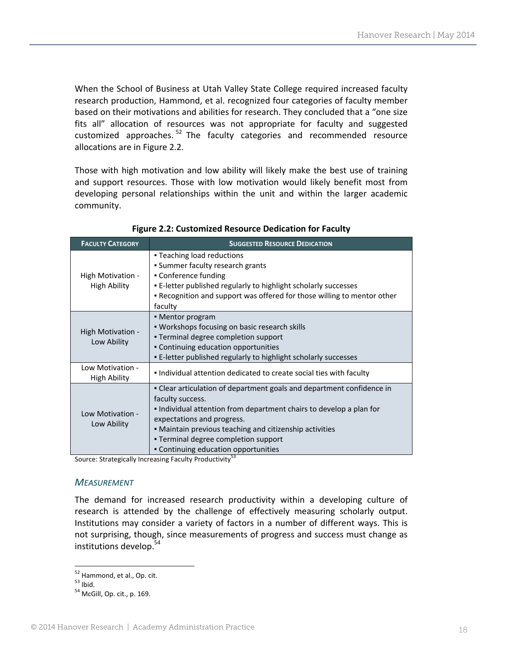When the School of Business at Utah Valley State College required increased faculty research production, Hammond, et al. recognized four categories of faculty member based on their motivations and abilities for research. They concluded that a "one size fits all" allocation of resources was not appropriate for faculty and suggested customized approaches. <sup>52</sup> The faculty categories and recommended resource allocations are in Figure 2.2.

Those with high motivation and low ability will likely make the best use of training and support resources. Those with low motivation would likely benefit most from developing personal relationships within the unit and within the larger academic community.

| <b>FACULTY CATEGORY</b>                  | <b>SUGGESTED RESOURCE DEDICATION</b>                                                                                                                                                                                                                                                                                                      |
|------------------------------------------|-------------------------------------------------------------------------------------------------------------------------------------------------------------------------------------------------------------------------------------------------------------------------------------------------------------------------------------------|
| High Motivation -<br><b>High Ability</b> | • Teaching load reductions<br>• Summer faculty research grants<br>• Conference funding<br>• E-letter published regularly to highlight scholarly successes<br>. Recognition and support was offered for those willing to mentor other<br>faculty                                                                                           |
| High Motivation -<br>Low Ability         | • Mentor program<br>• Workshops focusing on basic research skills<br>• Terminal degree completion support<br>• Continuing education opportunities<br>. E-letter published regularly to highlight scholarly successes                                                                                                                      |
| Low Motivation -<br><b>High Ability</b>  | • Individual attention dedicated to create social ties with faculty                                                                                                                                                                                                                                                                       |
| Low Motivation -<br>Low Ability          | • Clear articulation of department goals and department confidence in<br>faculty success.<br>• Individual attention from department chairs to develop a plan for<br>expectations and progress.<br>• Maintain previous teaching and citizenship activities<br>• Terminal degree completion support<br>• Continuing education opportunities |

**Figure 2.2: Customized Resource Dedication for Faculty**

Source: Strategically Increasing Faculty Productivity<sup>53</sup>

#### *MEASUREMENT*

The demand for increased research productivity within a developing culture of research is attended by the challenge of effectively measuring scholarly output. Institutions may consider a variety of factors in a number of different ways. This is not surprising, though, since measurements of progress and success must change as institutions develop.<sup>54</sup>

  $52$  Hammond, et al., Op. cit.<br> $53$  Ibid.<br> $54$  McGill, Op. cit., p. 169.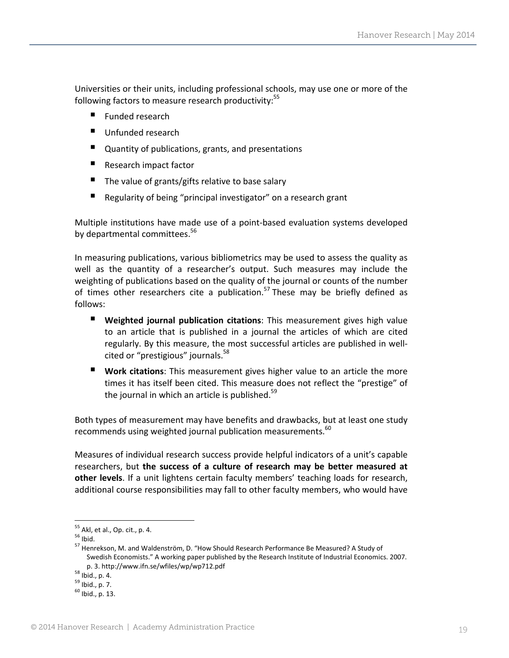Universities or their units, including professional schools, may use one or more of the following factors to measure research productivity:<sup>55</sup>

- Funded research
- Unfunded research
- **Quantity of publications, grants, and presentations**
- Research impact factor
- $\blacksquare$  The value of grants/gifts relative to base salary
- Regularity of being "principal investigator" on a research grant

Multiple institutions have made use of a point‐based evaluation systems developed by departmental committees.<sup>56</sup>

In measuring publications, various bibliometrics may be used to assess the quality as well as the quantity of a researcher's output. Such measures may include the weighting of publications based on the quality of the journal or counts of the number of times other researchers cite a publication.<sup>57</sup> These may be briefly defined as follows:

- **Weighted journal publication citations**: This measurement gives high value to an article that is published in a journal the articles of which are cited regularly. By this measure, the most successful articles are published in well‐ cited or "prestigious" journals.<sup>58</sup>
- **Work citations**: This measurement gives higher value to an article the more times it has itself been cited. This measure does not reflect the "prestige" of the journal in which an article is published. $59$

Both types of measurement may have benefits and drawbacks, but at least one study recommends using weighted journal publication measurements.<sup>60</sup>

Measures of individual research success provide helpful indicators of a unit's capable researchers, but **the success of a culture of research may be better measured at other levels**. If a unit lightens certain faculty members' teaching loads for research, additional course responsibilities may fall to other faculty members, who would have

<sup>&</sup>lt;sup>55</sup> Akl, et al., Op. cit., p. 4.<br><sup>56</sup> Ibid.<br><sup>57</sup> Henrekson, M. and Waldenström, D. "How Should Research Performance Be Measured? A Study of Swedish Economists." A working paper published by the Research Institute of Industrial Economics. 2007. p. 3. http://www.ifn.se/wfiles/wp/wp712.pdf<br><sup>58</sup> Ibid., p. 4.<br> $^{59}$  Ibid., p. 7.<br> $^{60}$  Ibid., p. 13.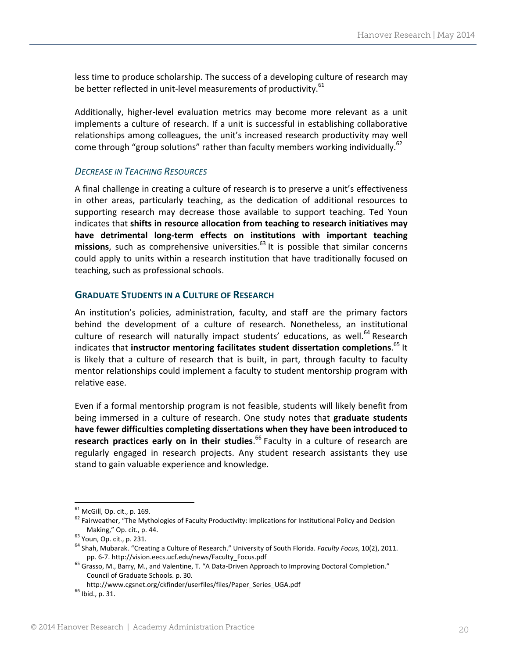less time to produce scholarship. The success of a developing culture of research may be better reflected in unit-level measurements of productivity. $61$ 

Additionally, higher‐level evaluation metrics may become more relevant as a unit implements a culture of research. If a unit is successful in establishing collaborative relationships among colleagues, the unit's increased research productivity may well come through "group solutions" rather than faculty members working individually.<sup>62</sup>

#### *DECREASE IN TEACHING RESOURCES*

A final challenge in creating a culture of research is to preserve a unit's effectiveness in other areas, particularly teaching, as the dedication of additional resources to supporting research may decrease those available to support teaching. Ted Youn indicates that **shifts in resource allocation from teaching to research initiatives may have detrimental long‐term effects on institutions with important teaching missions**, such as comprehensive universities.<sup>63</sup> It is possible that similar concerns could apply to units within a research institution that have traditionally focused on teaching, such as professional schools.

#### **GRADUATE STUDENTS IN A CULTURE OF RESEARCH**

An institution's policies, administration, faculty, and staff are the primary factors behind the development of a culture of research. Nonetheless, an institutional culture of research will naturally impact students' educations, as well.<sup>64</sup> Research indicates that **instructor mentoring facilitates student dissertation completions**. <sup>65</sup> It is likely that a culture of research that is built, in part, through faculty to faculty mentor relationships could implement a faculty to student mentorship program with relative ease.

Even if a formal mentorship program is not feasible, students will likely benefit from being immersed in a culture of research. One study notes that **graduate students have fewer difficulties completing dissertations when they have been introduced to research practices early on in their studies**. <sup>66</sup> Faculty in a culture of research are regularly engaged in research projects. Any student research assistants they use stand to gain valuable experience and knowledge.

<sup>&</sup>lt;sup>61</sup> McGill, Op. cit., p. 169.<br>
<sup>62</sup> Fairweather, "The Mythologies of Faculty Productivity: Implications for Institutional Policy and Decision<br>
Making," Op. cit., p. 44.

<sup>&</sup>lt;sup>63</sup> Youn, Op. cit., p. 231.<br><sup>64</sup> Shah, Mubarak. "Creating a Culture of Research." University of South Florida. *Faculty Focus*, 10(2), 2011. pp. 6-7. http://vision.eecs.ucf.edu/news/Faculty\_Focus.pdf<br><sup>65</sup> Grasso, M., Barry, M., and Valentine, T. "A Data-Driven Approach to Improving Doctoral Completion."

Council of Graduate Schools. p. 30.

http://www.cgsnet.org/ckfinder/userfiles/files/Paper\_Series\_UGA.pdf  $^{66}$ lbid., p. 31.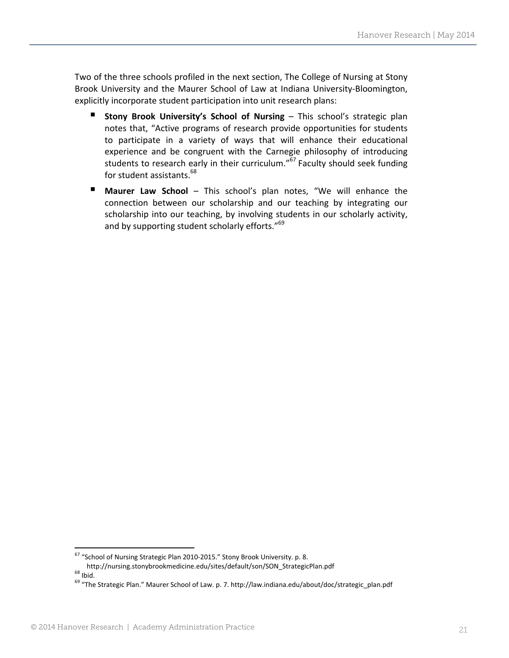Two of the three schools profiled in the next section, The College of Nursing at Stony Brook University and the Maurer School of Law at Indiana University‐Bloomington, explicitly incorporate student participation into unit research plans:

- **Stony Brook University's School of Nursing** This school's strategic plan notes that, "Active programs of research provide opportunities for students to participate in a variety of ways that will enhance their educational experience and be congruent with the Carnegie philosophy of introducing students to research early in their curriculum." $67$  Faculty should seek funding for student assistants.<sup>68</sup>
- **Maurer Law School** This school's plan notes, "We will enhance the connection between our scholarship and our teaching by integrating our scholarship into our teaching, by involving students in our scholarly activity, and by supporting student scholarly efforts."<sup>69</sup>

  $^{67}$  "School of Nursing Strategic Plan 2010-2015." Stony Brook University. p. 8.

http://nursing.stonybrookmedicine.edu/sites/default/son/SON\_StrategicPlan.pdf<br>
<sup>68</sup> Ibid.<br>
<sup>69</sup> "The Strategic Plan." Maurer School of Law. p. 7. http://law.indiana.edu/about/doc/strategic\_plan.pdf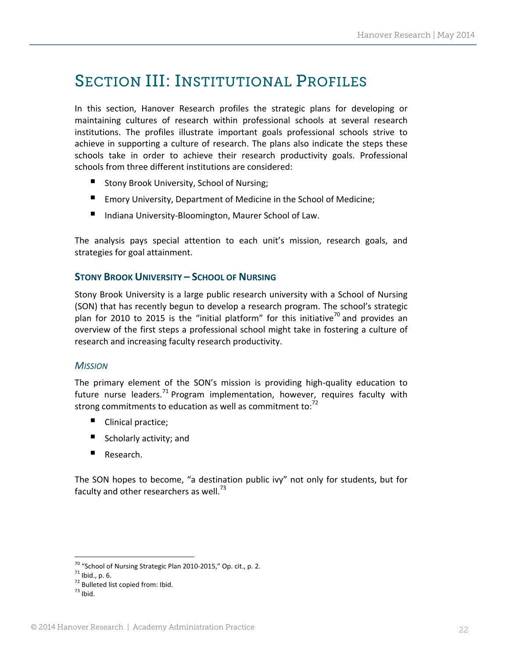# SECTION III: INSTITUTIONAL PROFILES

In this section, Hanover Research profiles the strategic plans for developing or maintaining cultures of research within professional schools at several research institutions. The profiles illustrate important goals professional schools strive to achieve in supporting a culture of research. The plans also indicate the steps these schools take in order to achieve their research productivity goals. Professional schools from three different institutions are considered:

- Stony Brook University, School of Nursing;
- Emory University, Department of Medicine in the School of Medicine;
- Indiana University-Bloomington, Maurer School of Law.

The analysis pays special attention to each unit's mission, research goals, and strategies for goal attainment.

# **STONY BROOK UNIVERSITY – SCHOOL OF NURSING**

Stony Brook University is a large public research university with a School of Nursing (SON) that has recently begun to develop a research program. The school's strategic plan for 2010 to 2015 is the "initial platform" for this initiative<sup>70</sup> and provides an overview of the first steps a professional school might take in fostering a culture of research and increasing faculty research productivity.

#### *MISSION*

The primary element of the SON's mission is providing high‐quality education to future nurse leaders.<sup>71</sup> Program implementation, however, requires faculty with strong commitments to education as well as commitment to: $<sup>72</sup>$ </sup>

- Clinical practice;
- Scholarly activity; and
- Research.

The SON hopes to become, "a destination public ivy" not only for students, but for faculty and other researchers as well.<sup>73</sup>

<sup>&</sup>lt;sup>70</sup> "School of Nursing Strategic Plan 2010-2015," Op. cit., p. 2.<br><sup>71</sup> Ibid., p. 6.<br><sup>72</sup> Bulleted list copied from: Ibid. <sup>73</sup> Ibid.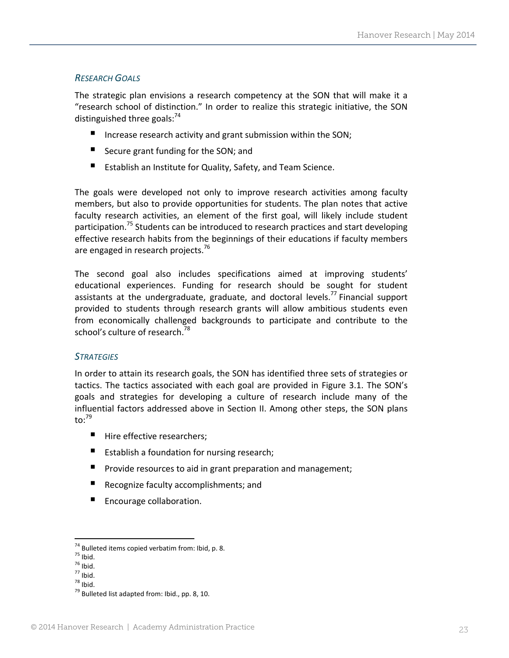# *RESEARCH GOALS*

The strategic plan envisions a research competency at the SON that will make it a "research school of distinction." In order to realize this strategic initiative, the SON distinguished three goals:<sup>74</sup>

- Increase research activity and grant submission within the SON;
- Secure grant funding for the SON; and
- Establish an Institute for Quality, Safety, and Team Science.

The goals were developed not only to improve research activities among faculty members, but also to provide opportunities for students. The plan notes that active faculty research activities, an element of the first goal, will likely include student participation.<sup>75</sup> Students can be introduced to research practices and start developing effective research habits from the beginnings of their educations if faculty members are engaged in research projects.<sup>76</sup>

The second goal also includes specifications aimed at improving students' educational experiences. Funding for research should be sought for student assistants at the undergraduate, graduate, and doctoral levels.<sup>77</sup> Financial support provided to students through research grants will allow ambitious students even from economically challenged backgrounds to participate and contribute to the school's culture of research.<sup>78</sup>

#### *STRATEGIES*

In order to attain its research goals, the SON has identified three sets of strategies or tactics. The tactics associated with each goal are provided in Figure 3.1. The SON's goals and strategies for developing a culture of research include many of the influential factors addressed above in Section II. Among other steps, the SON plans to: $79$ 

- $\blacksquare$  Hire effective researchers:
- **E** Establish a foundation for nursing research;
- **P** Provide resources to aid in grant preparation and management;
- Recognize faculty accomplishments; and
- **E** Encourage collaboration.

<sup>&</sup>lt;sup>74</sup> Bulleted items copied verbatim from: Ibid, p. 8.<br>
<sup>75</sup> Ibid.<br>
<sup>76</sup> Ibid.<br>
<sup>77</sup> Ibid.<br>
<sup>78</sup> Bulleted list adapted from: Ibid., pp. 8, 10.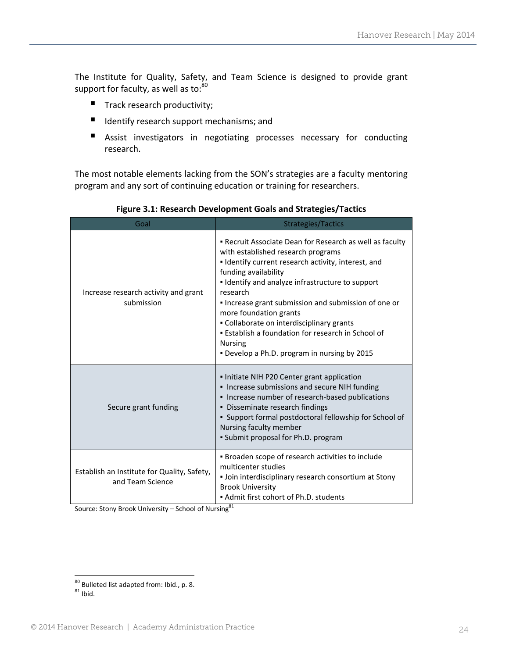The Institute for Quality, Safety, and Team Science is designed to provide grant support for faculty, as well as to:<sup>80</sup>

- $\blacksquare$  Track research productivity;
- I Identify research support mechanisms; and
- Assist investigators in negotiating processes necessary for conducting research.

The most notable elements lacking from the SON's strategies are a faculty mentoring program and any sort of continuing education or training for researchers.

| Goal                                                            | <b>Strategies/Tactics</b>                                                                                                                                                                                                                                                                                                                                                                                                                                                                            |  |
|-----------------------------------------------------------------|------------------------------------------------------------------------------------------------------------------------------------------------------------------------------------------------------------------------------------------------------------------------------------------------------------------------------------------------------------------------------------------------------------------------------------------------------------------------------------------------------|--|
| Increase research activity and grant<br>submission              | • Recruit Associate Dean for Research as well as faculty<br>with established research programs<br>. Identify current research activity, interest, and<br>funding availability<br>. Identify and analyze infrastructure to support<br>research<br>. Increase grant submission and submission of one or<br>more foundation grants<br>• Collaborate on interdisciplinary grants<br>• Establish a foundation for research in School of<br><b>Nursing</b><br>. Develop a Ph.D. program in nursing by 2015 |  |
| Secure grant funding                                            | . Initiate NIH P20 Center grant application<br>• Increase submissions and secure NIH funding<br>• Increase number of research-based publications<br>• Disseminate research findings<br>• Support formal postdoctoral fellowship for School of<br>Nursing faculty member<br>• Submit proposal for Ph.D. program                                                                                                                                                                                       |  |
| Establish an Institute for Quality, Safety,<br>and Team Science | . Broaden scope of research activities to include<br>multicenter studies<br>. Join interdisciplinary research consortium at Stony<br><b>Brook University</b><br>• Admit first cohort of Ph.D. students                                                                                                                                                                                                                                                                                               |  |

**Figure 3.1: Research Development Goals and Strategies/Tactics**

Source: Stony Brook University – School of Nursing<sup>81</sup>

 <sup>80</sup> Bulleted list adapted from: Ibid., p. 8.<br><sup>81</sup> Ibid.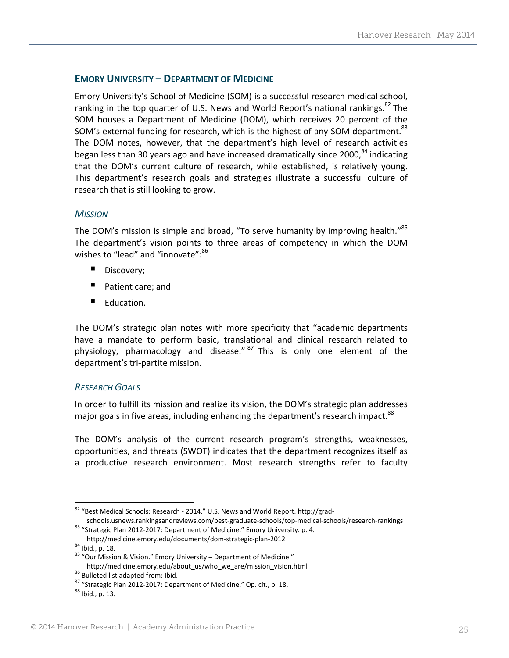### **EMORY UNIVERSITY – DEPARTMENT OF MEDICINE**

Emory University's School of Medicine (SOM) is a successful research medical school, ranking in the top quarter of U.S. News and World Report's national rankings.<sup>82</sup> The SOM houses a Department of Medicine (DOM), which receives 20 percent of the SOM's external funding for research, which is the highest of any SOM department.<sup>83</sup> The DOM notes, however, that the department's high level of research activities began less than 30 years ago and have increased dramatically since 2000,<sup>84</sup> indicating that the DOM's current culture of research, while established, is relatively young. This department's research goals and strategies illustrate a successful culture of research that is still looking to grow.

#### *MISSION*

The DOM's mission is simple and broad, "To serve humanity by improving health."<sup>85</sup> The department's vision points to three areas of competency in which the DOM wishes to "lead" and "innovate":<sup>86</sup>

- Discovery;
- Patient care; and
- Education.

The DOM's strategic plan notes with more specificity that "academic departments have a mandate to perform basic, translational and clinical research related to physiology, pharmacology and disease." <sup>87</sup> This is only one element of the department's tri‐partite mission.

#### *RESEARCH GOALS*

In order to fulfill its mission and realize its vision, the DOM's strategic plan addresses major goals in five areas, including enhancing the department's research impact.<sup>88</sup>

The DOM's analysis of the current research program's strengths, weaknesses, opportunities, and threats (SWOT) indicates that the department recognizes itself as a productive research environment. Most research strengths refer to faculty

<sup>82 &</sup>quot;Best Medical Schools: Research - 2014." U.S. News and World Report. http://grad-

schools.usnews.rankingsandreviews.com/best-graduate-schools/top-medical-schools/research-rankings<br><sup>83</sup> "Strategic Plan 2012-2017: Department of Medicine." Emory University. p. 4.<br>http://medicine.emory.edu/documents/dom-str

<sup>&</sup>lt;sup>84</sup> Ibid., p. 18.<br><sup>85</sup> "Our Mission & Vision." Emory University – Department of Medicine."<br>http://medicine.emory.edu/about\_us/who\_we\_are/mission vision.html

<sup>&</sup>lt;sup>86</sup> Bulleted list adapted from: Ibid.<br><sup>87</sup> "Strategic Plan 2012‐2017: Department of Medicine." Op. cit., p. 18. 88 Ibid., p. 13.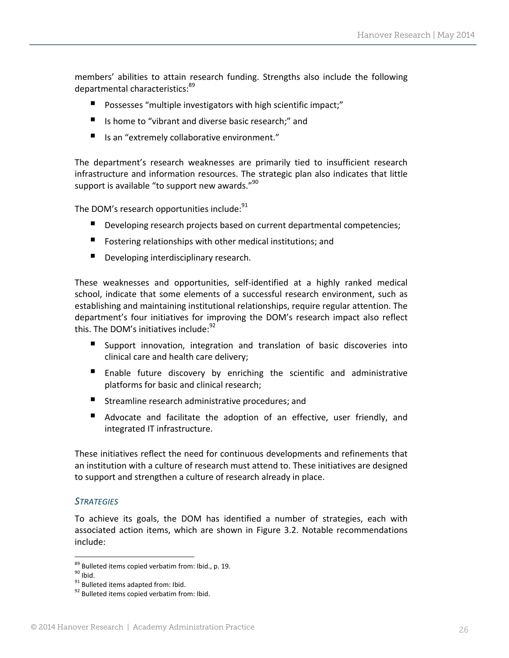members' abilities to attain research funding. Strengths also include the following departmental characteristics: 89

- **Possesses** "multiple investigators with high scientific impact;"
- Is home to "vibrant and diverse basic research:" and
- Is an "extremely collaborative environment."

The department's research weaknesses are primarily tied to insufficient research infrastructure and information resources. The strategic plan also indicates that little support is available "to support new awards."<sup>90</sup>

The DOM's research opportunities include:<sup>91</sup>

- Developing research projects based on current departmental competencies;
- **Fostering relationships with other medical institutions; and**
- Developing interdisciplinary research.

These weaknesses and opportunities, self‐identified at a highly ranked medical school, indicate that some elements of a successful research environment, such as establishing and maintaining institutional relationships, require regular attention. The department's four initiatives for improving the DOM's research impact also reflect this. The DOM's initiatives include:<sup>92</sup>

- Support innovation, integration and translation of basic discoveries into clinical care and health care delivery;
- Enable future discovery by enriching the scientific and administrative platforms for basic and clinical research;
- **E** Streamline research administrative procedures; and
- Advocate and facilitate the adoption of an effective, user friendly, and integrated IT infrastructure.

These initiatives reflect the need for continuous developments and refinements that an institution with a culture of research must attend to. These initiatives are designed to support and strengthen a culture of research already in place.

#### *STRATEGIES*

To achieve its goals, the DOM has identified a number of strategies, each with associated action items, which are shown in Figure 3.2. Notable recommendations include:

<sup>&</sup>lt;sup>89</sup> Bulleted items copied verbatim from: Ibid., p. 19.<br><sup>91</sup> Bulleted items adapted from: Ibid.<br><sup>92</sup> Bulleted items copied verbatim from: Ibid.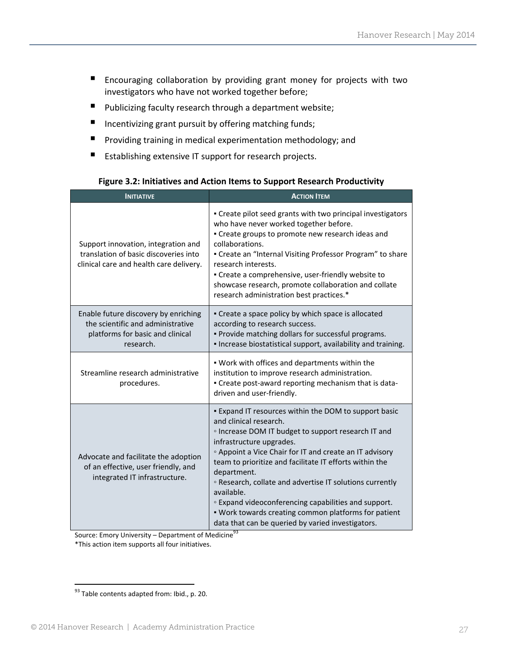- Encouraging collaboration by providing grant money for projects with two investigators who have not worked together before;
- Publicizing faculty research through a department website;
- $\blacksquare$  Incentivizing grant pursuit by offering matching funds;
- **Providing training in medical experimentation methodology; and**
- Establishing extensive IT support for research projects.

| <b>INITIATIVE</b>                                                                                                          | <b>ACTION ITEM</b>                                                                                                                                                                                                                                                                                                                                                                                                                                                                                                                                                                                 |
|----------------------------------------------------------------------------------------------------------------------------|----------------------------------------------------------------------------------------------------------------------------------------------------------------------------------------------------------------------------------------------------------------------------------------------------------------------------------------------------------------------------------------------------------------------------------------------------------------------------------------------------------------------------------------------------------------------------------------------------|
| Support innovation, integration and<br>translation of basic discoveries into<br>clinical care and health care delivery.    | . Create pilot seed grants with two principal investigators<br>who have never worked together before.<br>• Create groups to promote new research ideas and<br>collaborations.<br>• Create an "Internal Visiting Professor Program" to share<br>research interests.<br>• Create a comprehensive, user-friendly website to<br>showcase research, promote collaboration and collate<br>research administration best practices.*                                                                                                                                                                       |
| Enable future discovery by enriching<br>the scientific and administrative<br>platforms for basic and clinical<br>research. | • Create a space policy by which space is allocated<br>according to research success.<br>. Provide matching dollars for successful programs.<br>. Increase biostatistical support, availability and training.                                                                                                                                                                                                                                                                                                                                                                                      |
| Streamline research administrative<br>procedures.                                                                          | . Work with offices and departments within the<br>institution to improve research administration.<br>. Create post-award reporting mechanism that is data-<br>driven and user-friendly.                                                                                                                                                                                                                                                                                                                                                                                                            |
| Advocate and facilitate the adoption<br>of an effective, user friendly, and<br>integrated IT infrastructure.               | . Expand IT resources within the DOM to support basic<br>and clinical research.<br><sup>o</sup> Increase DOM IT budget to support research IT and<br>infrastructure upgrades.<br><sup>o</sup> Appoint a Vice Chair for IT and create an IT advisory<br>team to prioritize and facilitate IT efforts within the<br>department.<br><sup>o</sup> Research, collate and advertise IT solutions currently<br>available.<br><sup>o</sup> Expand videoconferencing capabilities and support.<br>. Work towards creating common platforms for patient<br>data that can be queried by varied investigators. |

#### **Figure 3.2: Initiatives and Action Items to Support Research Productivity**

Source: Emory University – Department of Medicine<sup>93</sup> \*This action item supports all four initiatives.

 <sup>93</sup> Table contents adapted from: Ibid., p. 20.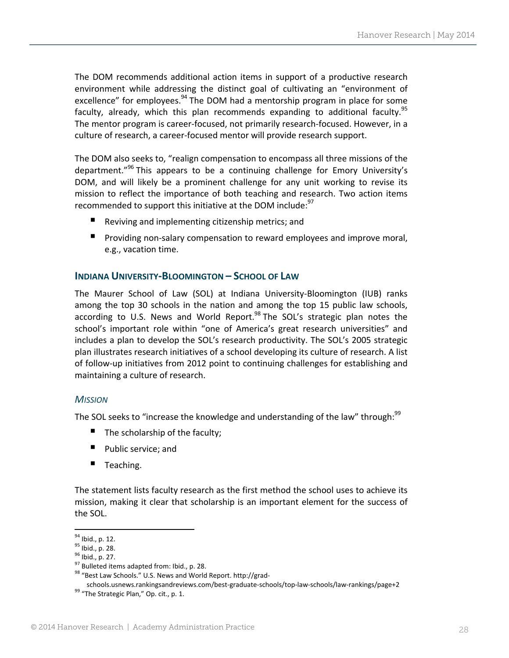The DOM recommends additional action items in support of a productive research environment while addressing the distinct goal of cultivating an "environment of excellence" for employees.<sup>94</sup> The DOM had a mentorship program in place for some faculty, already, which this plan recommends expanding to additional faculty.<sup>95</sup> The mentor program is career‐focused, not primarily research‐focused. However, in a culture of research, a career‐focused mentor will provide research support.

The DOM also seeks to, "realign compensation to encompass all three missions of the department."<sup>96</sup> This appears to be a continuing challenge for Emory University's DOM, and will likely be a prominent challenge for any unit working to revise its mission to reflect the importance of both teaching and research. Two action items recommended to support this initiative at the DOM include:<sup>97</sup>

- Reviving and implementing citizenship metrics; and
- Providing non-salary compensation to reward employees and improve moral, e.g., vacation time.

#### **INDIANA UNIVERSITY‐BLOOMINGTON – SCHOOL OF LAW**

The Maurer School of Law (SOL) at Indiana University‐Bloomington (IUB) ranks among the top 30 schools in the nation and among the top 15 public law schools, according to U.S. News and World Report.<sup>98</sup> The SOL's strategic plan notes the school's important role within "one of America's great research universities" and includes a plan to develop the SOL's research productivity. The SOL's 2005 strategic plan illustrates research initiatives of a school developing its culture of research. A list of follow‐up initiatives from 2012 point to continuing challenges for establishing and maintaining a culture of research.

#### *MISSION*

The SOL seeks to "increase the knowledge and understanding of the law" through:  $99$ 

- $\blacksquare$  The scholarship of the faculty;
- Public service: and
- Teaching.

The statement lists faculty research as the first method the school uses to achieve its mission, making it clear that scholarship is an important element for the success of the SOL.

<sup>&</sup>lt;sup>94</sup> Ibid., p. 12.<br><sup>95</sup> Ibid., p. 28.<br><sup>96</sup> Ibid., p. 27.<br><sup>97</sup> Bulleted items adapted from: Ibid., p. 28.<br><sup>98</sup> "Best Law Schools." U.S. News and World Report. http://grad-

schools.usnews.rankingsandreviews.com/best-graduate-schools/top-law-schools/law-rankings/page+2<br><sup>99</sup> "The Strategic Plan," Op. cit., p. 1.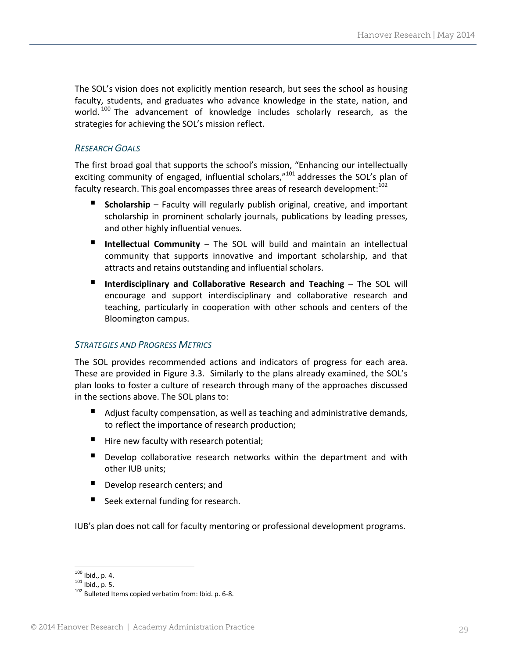The SOL's vision does not explicitly mention research, but sees the school as housing faculty, students, and graduates who advance knowledge in the state, nation, and world.  $100$  The advancement of knowledge includes scholarly research, as the strategies for achieving the SOL's mission reflect.

# *RESEARCH GOALS*

The first broad goal that supports the school's mission, "Enhancing our intellectually exciting community of engaged, influential scholars,"<sup>101</sup> addresses the SOL's plan of faculty research. This goal encompasses three areas of research development:<sup>102</sup>

- **Scholarship** Faculty will regularly publish original, creative, and important scholarship in prominent scholarly journals, publications by leading presses, and other highly influential venues.
- **Intellectual Community** The SOL will build and maintain an intellectual community that supports innovative and important scholarship, and that attracts and retains outstanding and influential scholars.
- **Interdisciplinary and Collaborative Research and Teaching** The SOL will encourage and support interdisciplinary and collaborative research and teaching, particularly in cooperation with other schools and centers of the Bloomington campus.

# *STRATEGIES AND PROGRESS METRICS*

The SOL provides recommended actions and indicators of progress for each area. These are provided in Figure 3.3. Similarly to the plans already examined, the SOL's plan looks to foster a culture of research through many of the approaches discussed in the sections above. The SOL plans to:

- Adjust faculty compensation, as well as teaching and administrative demands, to reflect the importance of research production;
- Hire new faculty with research potential;
- Develop collaborative research networks within the department and with other IUB units;
- Develop research centers; and
- Seek external funding for research.

IUB's plan does not call for faculty mentoring or professional development programs.

 $100$  Ibid., p. 4.

<sup>101</sup> Ibid., p. 5.  $\frac{100 \text{ J}}{102}$  Bulleted Items copied verbatim from: Ibid. p. 6-8.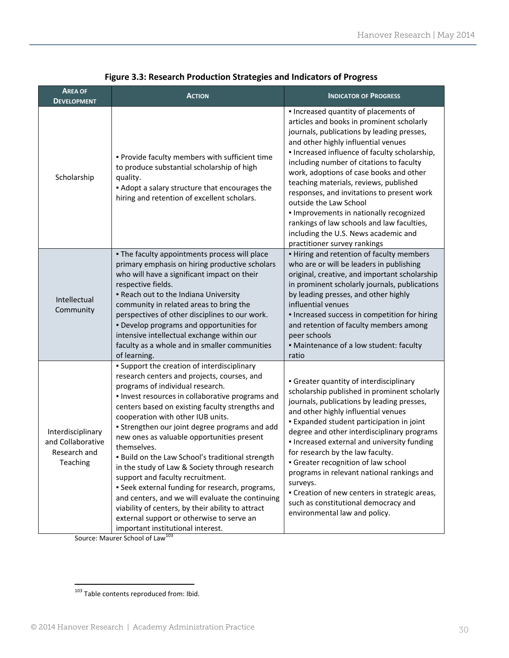| <b>AREA OF</b><br><b>DEVELOPMENT</b>                               | <b>ACTION</b>                                                                                                                                                                                                                                                                                                                                                                                                                                                                                                                                                                                                                                                                                                                                                                   | <b>INDICATOR OF PROGRESS</b>                                                                                                                                                                                                                                                                                                                                                                                                                                                                                                                                                                       |
|--------------------------------------------------------------------|---------------------------------------------------------------------------------------------------------------------------------------------------------------------------------------------------------------------------------------------------------------------------------------------------------------------------------------------------------------------------------------------------------------------------------------------------------------------------------------------------------------------------------------------------------------------------------------------------------------------------------------------------------------------------------------------------------------------------------------------------------------------------------|----------------------------------------------------------------------------------------------------------------------------------------------------------------------------------------------------------------------------------------------------------------------------------------------------------------------------------------------------------------------------------------------------------------------------------------------------------------------------------------------------------------------------------------------------------------------------------------------------|
| Scholarship                                                        | . Provide faculty members with sufficient time<br>to produce substantial scholarship of high<br>quality.<br>• Adopt a salary structure that encourages the<br>hiring and retention of excellent scholars.                                                                                                                                                                                                                                                                                                                                                                                                                                                                                                                                                                       | . Increased quantity of placements of<br>articles and books in prominent scholarly<br>journals, publications by leading presses,<br>and other highly influential venues<br>. Increased influence of faculty scholarship,<br>including number of citations to faculty<br>work, adoptions of case books and other<br>teaching materials, reviews, published<br>responses, and invitations to present work<br>outside the Law School<br>. Improvements in nationally recognized<br>rankings of law schools and law faculties,<br>including the U.S. News academic and<br>practitioner survey rankings |
| Intellectual<br>Community                                          | . The faculty appointments process will place<br>primary emphasis on hiring productive scholars<br>who will have a significant impact on their<br>respective fields.<br>. Reach out to the Indiana University<br>community in related areas to bring the<br>perspectives of other disciplines to our work.<br>. Develop programs and opportunities for<br>intensive intellectual exchange within our<br>faculty as a whole and in smaller communities<br>of learning.                                                                                                                                                                                                                                                                                                           | . Hiring and retention of faculty members<br>who are or will be leaders in publishing<br>original, creative, and important scholarship<br>in prominent scholarly journals, publications<br>by leading presses, and other highly<br>influential venues<br>· Increased success in competition for hiring<br>and retention of faculty members among<br>peer schools<br>• Maintenance of a low student: faculty<br>ratio                                                                                                                                                                               |
| Interdisciplinary<br>and Collaborative<br>Research and<br>Teaching | • Support the creation of interdisciplinary<br>research centers and projects, courses, and<br>programs of individual research.<br>. Invest resources in collaborative programs and<br>centers based on existing faculty strengths and<br>cooperation with other IUB units.<br>• Strengthen our joint degree programs and add<br>new ones as valuable opportunities present<br>themselves.<br>Build on the Law School's traditional strength<br>in the study of Law & Society through research<br>support and faculty recruitment.<br>• Seek external funding for research, programs,<br>and centers, and we will evaluate the continuing<br>viability of centers, by their ability to attract<br>external support or otherwise to serve an<br>important institutional interest. | • Greater quantity of interdisciplinary<br>scholarship published in prominent scholarly<br>journals, publications by leading presses,<br>and other highly influential venues<br><b>Expanded student participation in joint</b><br>degree and other interdisciplinary programs<br>. Increased external and university funding<br>for research by the law faculty.<br>• Greater recognition of law school<br>programs in relevant national rankings and<br>surveys.<br>• Creation of new centers in strategic areas,<br>such as constitutional democracy and<br>environmental law and policy.        |

**Figure 3.3: Research Production Strategies and Indicators of Progress**

Source: Maurer School of Law<sup>103</sup>

 <sup>103</sup> Table contents reproduced from: Ibid.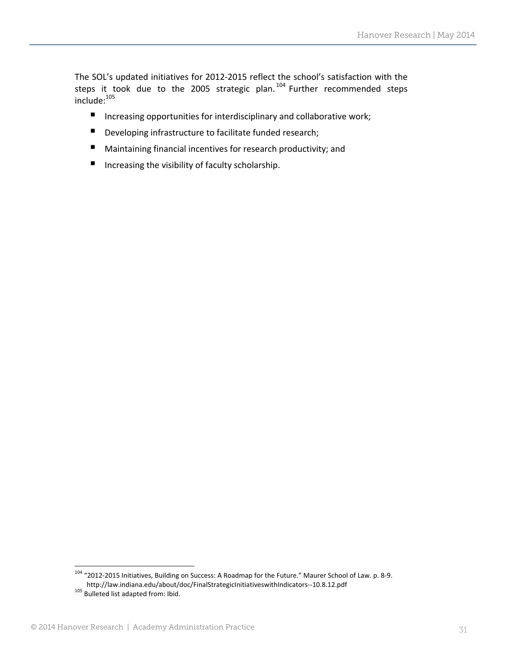The SOL's updated initiatives for 2012‐2015 reflect the school's satisfaction with the steps it took due to the 2005 strategic plan.<sup>104</sup> Further recommended steps include:105

- Increasing opportunities for interdisciplinary and collaborative work;
- Developing infrastructure to facilitate funded research;
- Maintaining financial incentives for research productivity; and
- Increasing the visibility of faculty scholarship.

 $104$  "2012-2015 Initiatives, Building on Success: A Roadmap for the Future." Maurer School of Law. p. 8-9. http://law.indiana.edu/about/doc/FinalStrategicInitiativeswithIndicators‐‐10.8.12.pdf <sup>105</sup> Bulleted list adapted from: Ibid.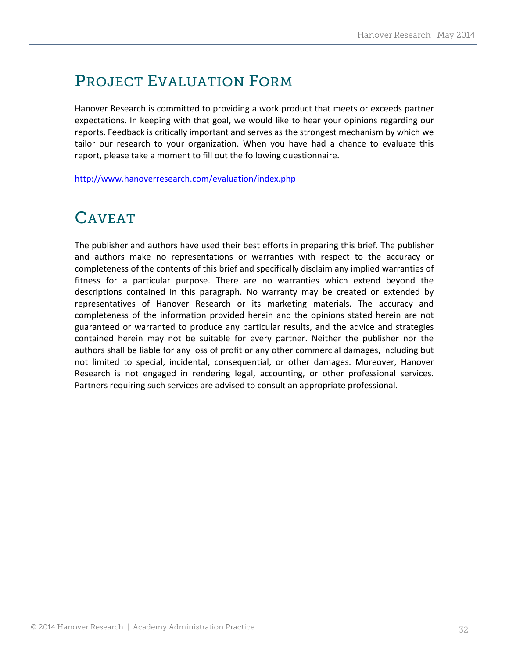# PROJECT EVALUATION FORM

Hanover Research is committed to providing a work product that meets or exceeds partner expectations. In keeping with that goal, we would like to hear your opinions regarding our reports. Feedback is critically important and serves as the strongest mechanism by which we tailor our research to your organization. When you have had a chance to evaluate this report, please take a moment to fill out the following questionnaire.

http://www.hanoverresearch.com/evaluation/index.php

# CAVEAT

The publisher and authors have used their best efforts in preparing this brief. The publisher and authors make no representations or warranties with respect to the accuracy or completeness of the contents of this brief and specifically disclaim any implied warranties of fitness for a particular purpose. There are no warranties which extend beyond the descriptions contained in this paragraph. No warranty may be created or extended by representatives of Hanover Research or its marketing materials. The accuracy and completeness of the information provided herein and the opinions stated herein are not guaranteed or warranted to produce any particular results, and the advice and strategies contained herein may not be suitable for every partner. Neither the publisher nor the authors shall be liable for any loss of profit or any other commercial damages, including but not limited to special, incidental, consequential, or other damages. Moreover, Hanover Research is not engaged in rendering legal, accounting, or other professional services. Partners requiring such services are advised to consult an appropriate professional.